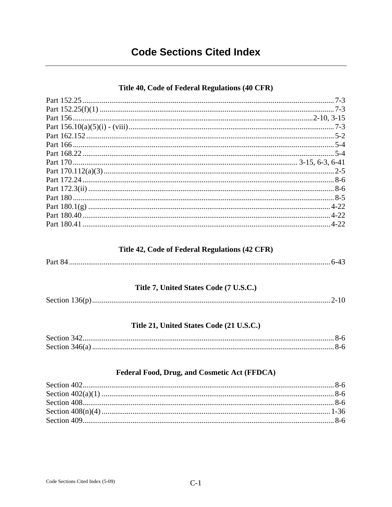# **Code Sections Cited Index**

### Title 40, Code of Federal Regulations (40 CFR)

#### Title 42, Code of Federal Regulations (42 CFR)

|--|--|

### Title 7, United States Code (7 U.S.C.)

## Title 21, United States Code (21 U.S.C.)

### Federal Food, Drug, and Cosmetic Act (FFDCA)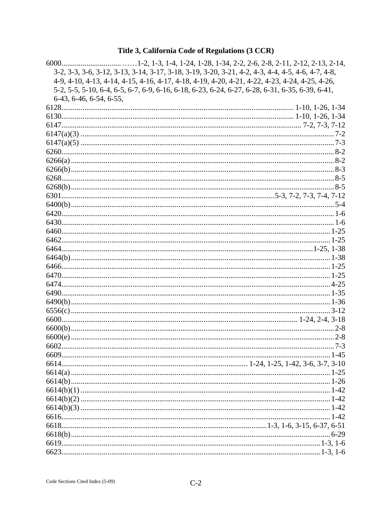# Title 3, California Code of Regulations (3 CCR)

| 3-2, 3-3, 3-6, 3-12, 3-13, 3-14, 3-17, 3-18, 3-19, 3-20, 3-21, 4-2, 4-3, 4-4, 4-5, 4-6, 4-7, 4-8, |  |
|---------------------------------------------------------------------------------------------------|--|
| 4-9, 4-10, 4-13, 4-14, 4-15, 4-16, 4-17, 4-18, 4-19, 4-20, 4-21, 4-22, 4-23, 4-24, 4-25, 4-26,    |  |
| 5-2, 5-5, 5-10, 6-4, 6-5, 6-7, 6-9, 6-16, 6-18, 6-23, 6-24, 6-27, 6-28, 6-31, 6-35, 6-39, 6-41,   |  |
| 6-43, 6-46, 6-54, 6-55,                                                                           |  |
|                                                                                                   |  |
|                                                                                                   |  |
|                                                                                                   |  |
|                                                                                                   |  |
|                                                                                                   |  |
|                                                                                                   |  |
|                                                                                                   |  |
|                                                                                                   |  |
|                                                                                                   |  |
|                                                                                                   |  |
|                                                                                                   |  |
|                                                                                                   |  |
|                                                                                                   |  |
|                                                                                                   |  |
|                                                                                                   |  |
|                                                                                                   |  |
|                                                                                                   |  |
|                                                                                                   |  |
|                                                                                                   |  |
|                                                                                                   |  |
|                                                                                                   |  |
|                                                                                                   |  |
|                                                                                                   |  |
|                                                                                                   |  |
|                                                                                                   |  |
|                                                                                                   |  |
|                                                                                                   |  |
|                                                                                                   |  |
|                                                                                                   |  |
|                                                                                                   |  |
|                                                                                                   |  |
|                                                                                                   |  |
|                                                                                                   |  |
|                                                                                                   |  |
|                                                                                                   |  |
|                                                                                                   |  |
|                                                                                                   |  |
|                                                                                                   |  |
|                                                                                                   |  |
|                                                                                                   |  |
|                                                                                                   |  |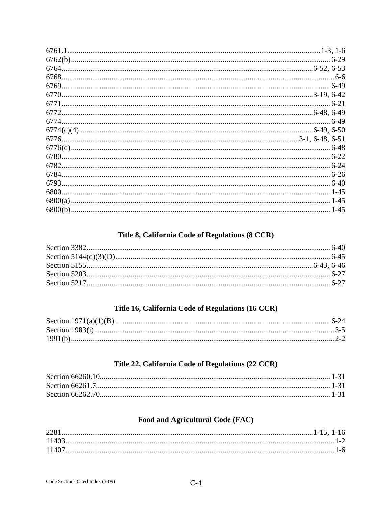#### Title 8, California Code of Regulations (8 CCR)

## Title 16, California Code of Regulations (16 CCR)

# Title 22, California Code of Regulations (22 CCR)

# Food and Agricultural Code (FAC)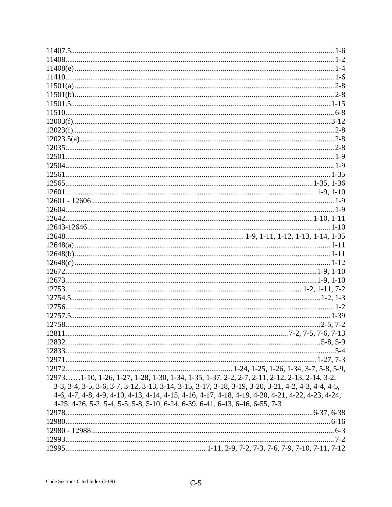| 129731-10, 1-26, 1-27, 1-28, 1-30, 1-34, 1-35, 1-37, 2-2, 2-7, 2-11, 2-12, 2-13, 2-14, 3-2,        |  |
|----------------------------------------------------------------------------------------------------|--|
| 3-3, 3-4, 3-5, 3-6, 3-7, 3-12, 3-13, 3-14, 3-15, 3-17, 3-18, 3-19, 3-20, 3-21, 4-2, 4-3, 4-4, 4-5, |  |
| 4-6, 4-7, 4-8, 4-9, 4-10, 4-13, 4-14, 4-15, 4-16, 4-17, 4-18, 4-19, 4-20, 4-21, 4-22, 4-23, 4-24,  |  |
| 4-25, 4-26, 5-2, 5-4, 5-5, 5-8, 5-10, 6-24, 6-39, 6-41, 6-43, 6-46, 6-55, 7-3                      |  |
|                                                                                                    |  |
|                                                                                                    |  |
|                                                                                                    |  |
|                                                                                                    |  |
|                                                                                                    |  |